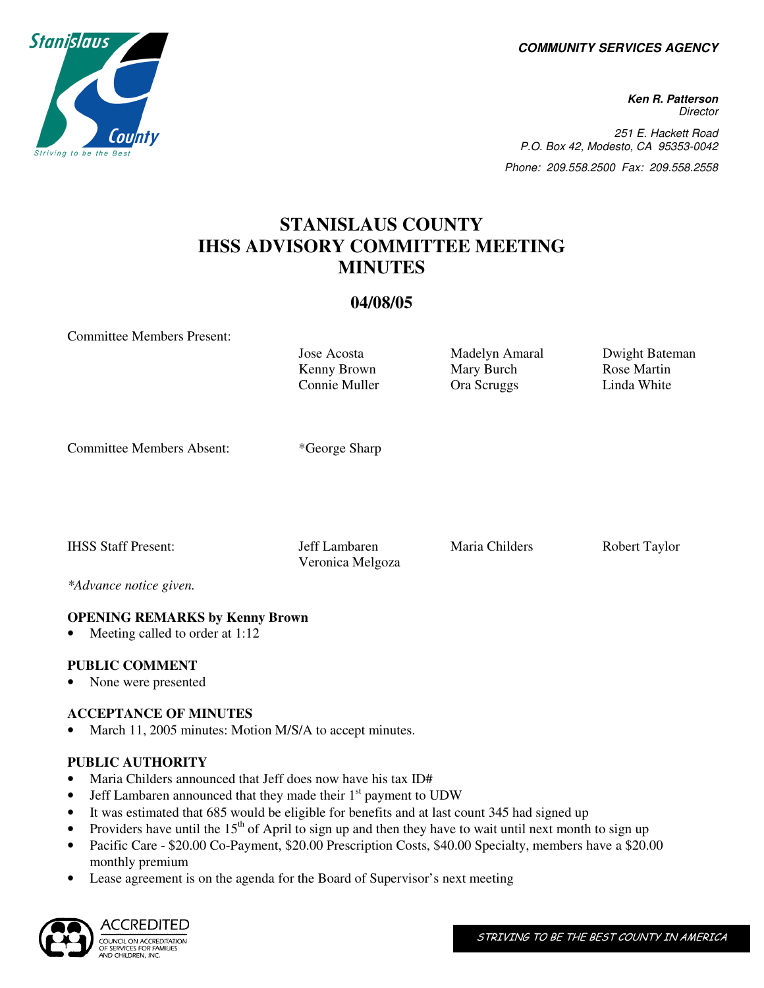**COMMUNITY SERVICES AGENCY** 

**Ken R. Patterson Director** 251 E. Hackett Road P.O. Box 42, Modesto, CA 95353-0042 Phone: 209.558.2500 Fax: 209.558.2558

# **STANISLAUS COUNTY IHSS ADVISORY COMMITTEE MEETING MINUTES**

# **04/08/05**

Committee Members Present:

Kenny Brown Connie Muller Mary Burch Ora Scruggs

Jose Acosta Madelyn Amaral Dwight Bateman Rose Martin Linda White

Committee Members Absent: \*George Sharp

IHSS Staff Present: Jeff Lambaren Maria Childers Robert Taylor Veronica Melgoza

*\*Advance notice given.* 

# **OPENING REMARKS by Kenny Brown**

Meeting called to order at 1:12

# **PUBLIC COMMENT**

• None were presented

# **ACCEPTANCE OF MINUTES**

• March 11, 2005 minutes: Motion M/S/A to accept minutes.

# **PUBLIC AUTHORITY**

- Maria Childers announced that Jeff does now have his tax ID#
- Jeff Lambaren announced that they made their  $1<sup>st</sup>$  payment to UDW
- It was estimated that 685 would be eligible for benefits and at last count 345 had signed up
- Providers have until the  $15<sup>th</sup>$  of April to sign up and then they have to wait until next month to sign up
- Pacific Care \$20.00 Co-Payment, \$20.00 Prescription Costs, \$40.00 Specialty, members have a \$20.00 monthly premium
- Lease agreement is on the agenda for the Board of Supervisor's next meeting